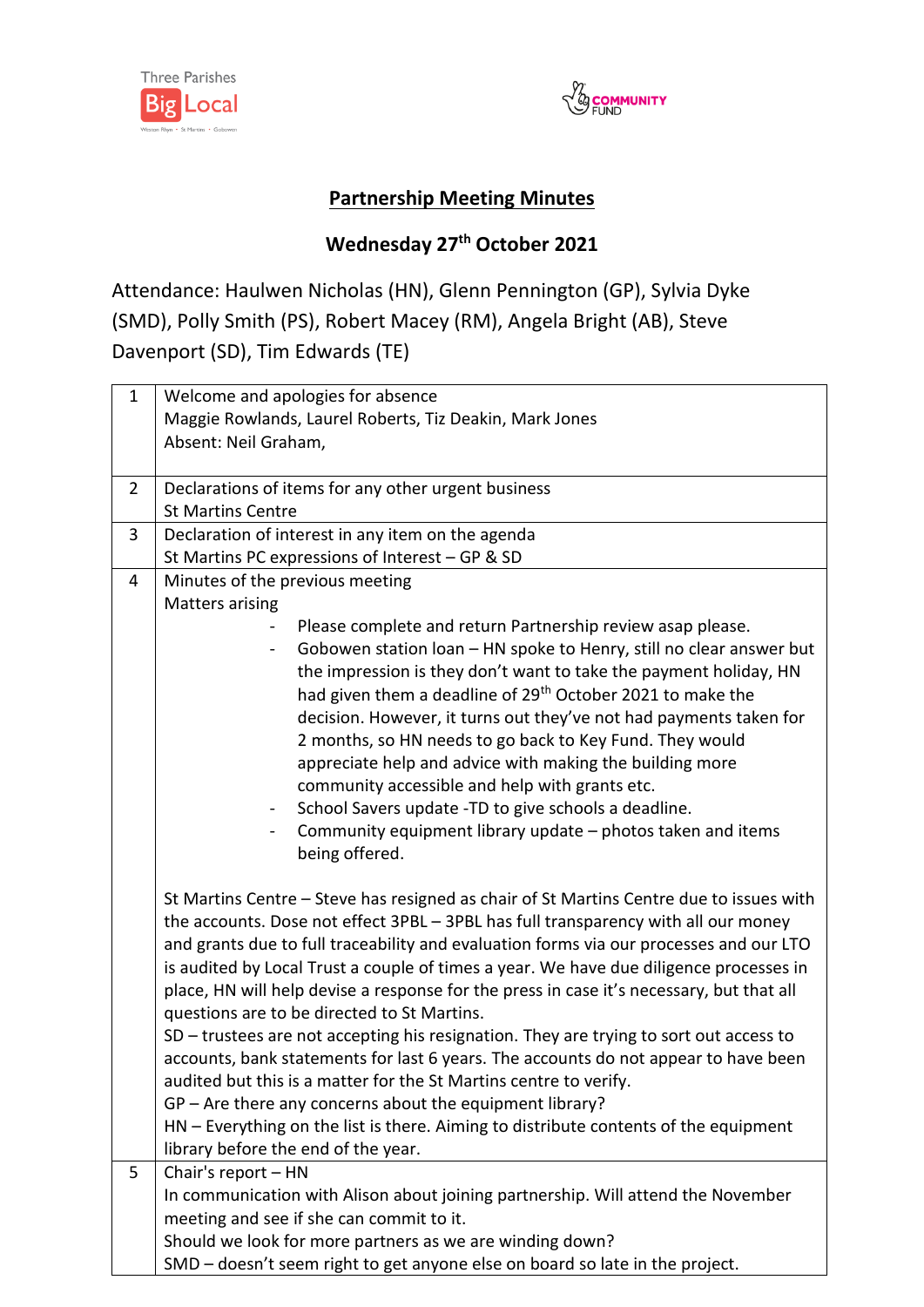



## **Partnership Meeting Minutes**

## **Wednesday 27th October 2021**

Attendance: Haulwen Nicholas (HN), Glenn Pennington (GP), Sylvia Dyke (SMD), Polly Smith (PS), Robert Macey (RM), Angela Bright (AB), Steve Davenport (SD), Tim Edwards (TE)

| $\mathbf{1}$   | Welcome and apologies for absence                                                                                                                                                |
|----------------|----------------------------------------------------------------------------------------------------------------------------------------------------------------------------------|
|                | Maggie Rowlands, Laurel Roberts, Tiz Deakin, Mark Jones                                                                                                                          |
|                | Absent: Neil Graham,                                                                                                                                                             |
|                |                                                                                                                                                                                  |
| $\overline{2}$ | Declarations of items for any other urgent business                                                                                                                              |
|                | <b>St Martins Centre</b>                                                                                                                                                         |
| 3              | Declaration of interest in any item on the agenda<br>St Martins PC expressions of Interest - GP & SD                                                                             |
| $\overline{4}$ | Minutes of the previous meeting                                                                                                                                                  |
|                | <b>Matters arising</b>                                                                                                                                                           |
|                | Please complete and return Partnership review asap please.                                                                                                                       |
|                | Gobowen station loan - HN spoke to Henry, still no clear answer but                                                                                                              |
|                | the impression is they don't want to take the payment holiday, HN                                                                                                                |
|                | had given them a deadline of 29 <sup>th</sup> October 2021 to make the                                                                                                           |
|                | decision. However, it turns out they've not had payments taken for                                                                                                               |
|                | 2 months, so HN needs to go back to Key Fund. They would                                                                                                                         |
|                | appreciate help and advice with making the building more                                                                                                                         |
|                | community accessible and help with grants etc.                                                                                                                                   |
|                | School Savers update -TD to give schools a deadline.                                                                                                                             |
|                | Community equipment library update - photos taken and items                                                                                                                      |
|                | being offered.                                                                                                                                                                   |
|                |                                                                                                                                                                                  |
|                | St Martins Centre - Steve has resigned as chair of St Martins Centre due to issues with                                                                                          |
|                | the accounts. Dose not effect 3PBL - 3PBL has full transparency with all our money                                                                                               |
|                | and grants due to full traceability and evaluation forms via our processes and our LTO<br>is audited by Local Trust a couple of times a year. We have due diligence processes in |
|                | place, HN will help devise a response for the press in case it's necessary, but that all                                                                                         |
|                | questions are to be directed to St Martins.                                                                                                                                      |
|                | SD - trustees are not accepting his resignation. They are trying to sort out access to                                                                                           |
|                | accounts, bank statements for last 6 years. The accounts do not appear to have been                                                                                              |
|                | audited but this is a matter for the St Martins centre to verify.                                                                                                                |
|                | GP - Are there any concerns about the equipment library?                                                                                                                         |
|                | HN - Everything on the list is there. Aiming to distribute contents of the equipment                                                                                             |
|                | library before the end of the year.                                                                                                                                              |
| 5              | Chair's report - HN                                                                                                                                                              |
|                | In communication with Alison about joining partnership. Will attend the November                                                                                                 |
|                | meeting and see if she can commit to it.                                                                                                                                         |
|                | Should we look for more partners as we are winding down?                                                                                                                         |
|                | SMD - doesn't seem right to get anyone else on board so late in the project.                                                                                                     |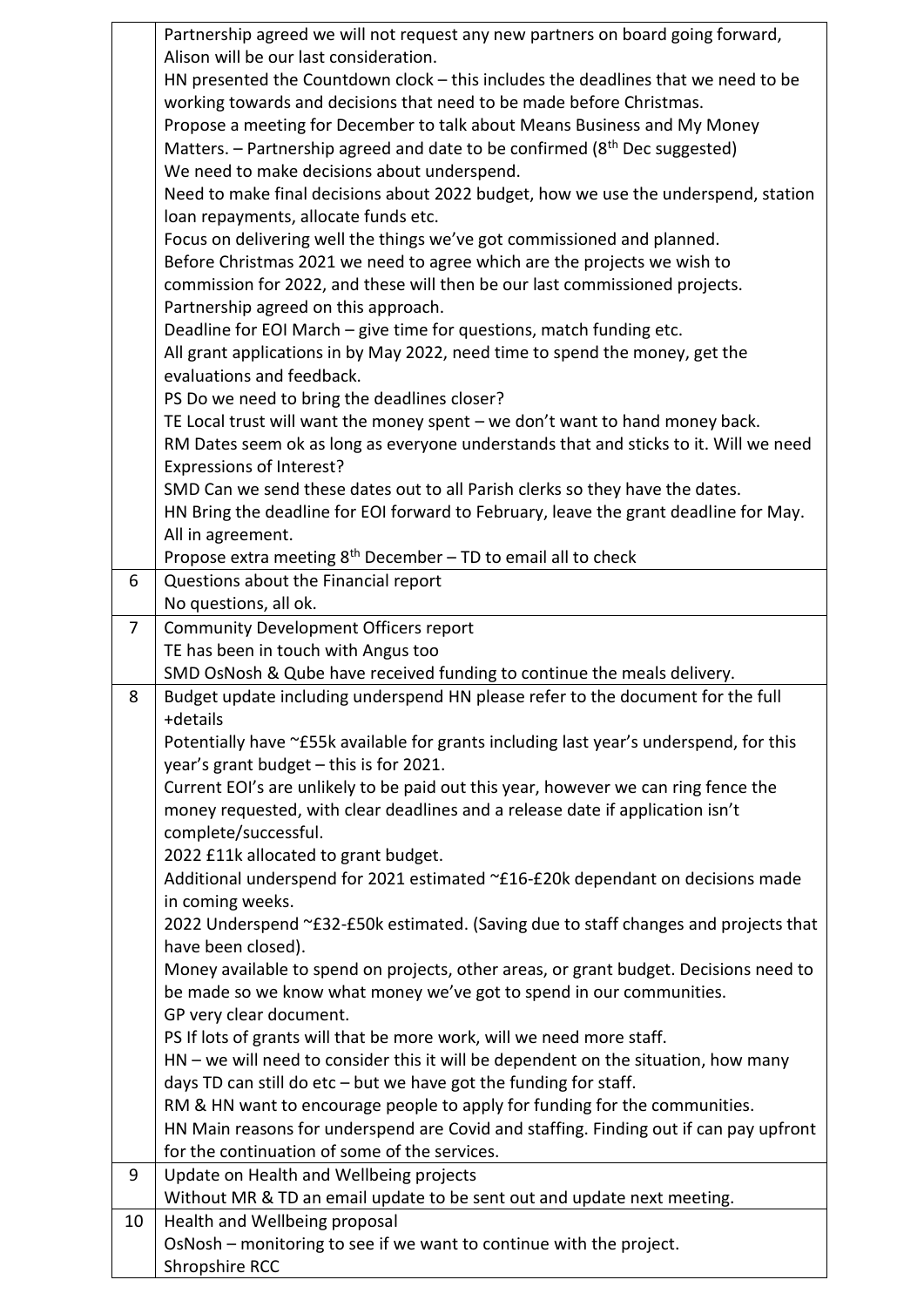|                | Partnership agreed we will not request any new partners on board going forward,                                |
|----------------|----------------------------------------------------------------------------------------------------------------|
|                | Alison will be our last consideration.                                                                         |
|                | HN presented the Countdown clock - this includes the deadlines that we need to be                              |
|                | working towards and decisions that need to be made before Christmas.                                           |
|                | Propose a meeting for December to talk about Means Business and My Money                                       |
|                | Matters. - Partnership agreed and date to be confirmed (8 <sup>th</sup> Dec suggested)                         |
|                | We need to make decisions about underspend.                                                                    |
|                | Need to make final decisions about 2022 budget, how we use the underspend, station                             |
|                | loan repayments, allocate funds etc.                                                                           |
|                | Focus on delivering well the things we've got commissioned and planned.                                        |
|                | Before Christmas 2021 we need to agree which are the projects we wish to                                       |
|                | commission for 2022, and these will then be our last commissioned projects.                                    |
|                | Partnership agreed on this approach.                                                                           |
|                | Deadline for EOI March - give time for questions, match funding etc.                                           |
|                | All grant applications in by May 2022, need time to spend the money, get the                                   |
|                | evaluations and feedback.                                                                                      |
|                | PS Do we need to bring the deadlines closer?                                                                   |
|                | TE Local trust will want the money spent - we don't want to hand money back.                                   |
|                | RM Dates seem ok as long as everyone understands that and sticks to it. Will we need                           |
|                | Expressions of Interest?                                                                                       |
|                | SMD Can we send these dates out to all Parish clerks so they have the dates.                                   |
|                | HN Bring the deadline for EOI forward to February, leave the grant deadline for May.                           |
|                | All in agreement.                                                                                              |
|                | Propose extra meeting $8th$ December – TD to email all to check                                                |
| 6              | Questions about the Financial report                                                                           |
|                | No questions, all ok.                                                                                          |
| $\overline{7}$ | <b>Community Development Officers report</b>                                                                   |
|                | TE has been in touch with Angus too<br>SMD OsNosh & Qube have received funding to continue the meals delivery. |
| 8              | Budget update including underspend HN please refer to the document for the full                                |
|                | +details                                                                                                       |
|                | Potentially have ~£55k available for grants including last year's underspend, for this                         |
|                | year's grant budget - this is for 2021.                                                                        |
|                | Current EOI's are unlikely to be paid out this year, however we can ring fence the                             |
|                | money requested, with clear deadlines and a release date if application isn't                                  |
|                | complete/successful.                                                                                           |
|                | 2022 £11k allocated to grant budget.                                                                           |
|                | Additional underspend for 2021 estimated ~£16-£20k dependant on decisions made                                 |
|                | in coming weeks.                                                                                               |
|                | 2022 Underspend ~£32-£50k estimated. (Saving due to staff changes and projects that                            |
|                | have been closed).                                                                                             |
|                | Money available to spend on projects, other areas, or grant budget. Decisions need to                          |
|                | be made so we know what money we've got to spend in our communities.                                           |
|                | GP very clear document.                                                                                        |
|                | PS If lots of grants will that be more work, will we need more staff.                                          |
|                | $HN - we will need to consider this it will be dependent on the situation, how many$                           |
|                | days TD can still do etc - but we have got the funding for staff.                                              |
|                | RM & HN want to encourage people to apply for funding for the communities.                                     |
|                | HN Main reasons for underspend are Covid and staffing. Finding out if can pay upfront                          |
|                | for the continuation of some of the services.                                                                  |
| 9              | Update on Health and Wellbeing projects                                                                        |
|                | Without MR & TD an email update to be sent out and update next meeting.                                        |
| 10             | Health and Wellbeing proposal                                                                                  |
|                | OsNosh - monitoring to see if we want to continue with the project.                                            |
|                | Shropshire RCC                                                                                                 |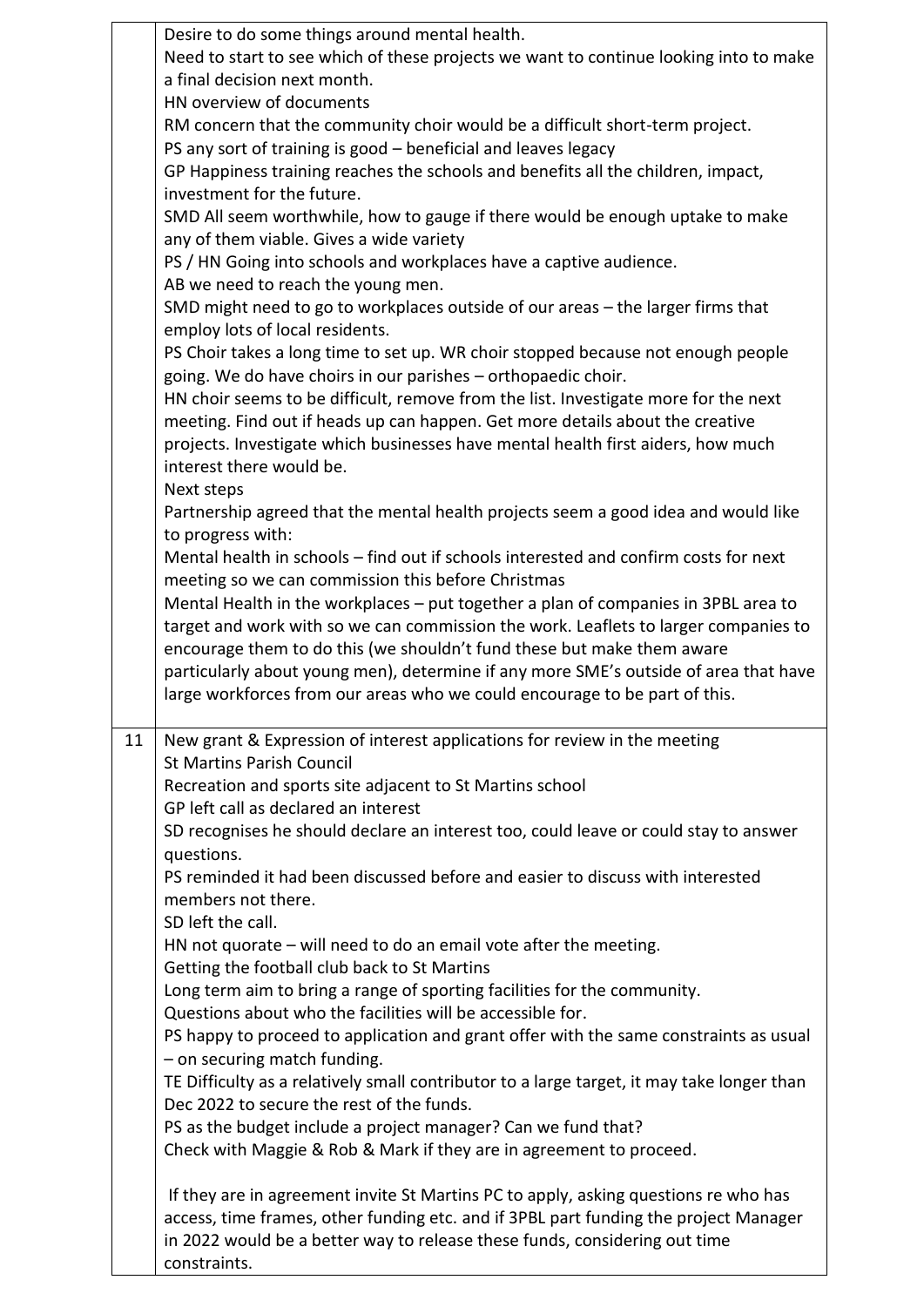|    | Desire to do some things around mental health.                                                                        |
|----|-----------------------------------------------------------------------------------------------------------------------|
|    | Need to start to see which of these projects we want to continue looking into to make<br>a final decision next month. |
|    | HN overview of documents                                                                                              |
|    | RM concern that the community choir would be a difficult short-term project.                                          |
|    | PS any sort of training is good - beneficial and leaves legacy                                                        |
|    | GP Happiness training reaches the schools and benefits all the children, impact,                                      |
|    | investment for the future.                                                                                            |
|    |                                                                                                                       |
|    | SMD All seem worthwhile, how to gauge if there would be enough uptake to make                                         |
|    | any of them viable. Gives a wide variety                                                                              |
|    | PS / HN Going into schools and workplaces have a captive audience.                                                    |
|    | AB we need to reach the young men.                                                                                    |
|    | SMD might need to go to workplaces outside of our areas - the larger firms that                                       |
|    | employ lots of local residents.                                                                                       |
|    | PS Choir takes a long time to set up. WR choir stopped because not enough people                                      |
|    | going. We do have choirs in our parishes - orthopaedic choir.                                                         |
|    | HN choir seems to be difficult, remove from the list. Investigate more for the next                                   |
|    | meeting. Find out if heads up can happen. Get more details about the creative                                         |
|    | projects. Investigate which businesses have mental health first aiders, how much                                      |
|    | interest there would be.                                                                                              |
|    | Next steps                                                                                                            |
|    | Partnership agreed that the mental health projects seem a good idea and would like                                    |
|    | to progress with:                                                                                                     |
|    | Mental health in schools - find out if schools interested and confirm costs for next                                  |
|    |                                                                                                                       |
|    | meeting so we can commission this before Christmas                                                                    |
|    | Mental Health in the workplaces - put together a plan of companies in 3PBL area to                                    |
|    | target and work with so we can commission the work. Leaflets to larger companies to                                   |
|    | encourage them to do this (we shouldn't fund these but make them aware                                                |
|    | particularly about young men), determine if any more SME's outside of area that have                                  |
|    | large workforces from our areas who we could encourage to be part of this.                                            |
|    |                                                                                                                       |
| 11 | New grant & Expression of interest applications for review in the meeting                                             |
|    | <b>St Martins Parish Council</b>                                                                                      |
|    | Recreation and sports site adjacent to St Martins school                                                              |
|    | GP left call as declared an interest                                                                                  |
|    | SD recognises he should declare an interest too, could leave or could stay to answer                                  |
|    | questions.                                                                                                            |
|    | PS reminded it had been discussed before and easier to discuss with interested                                        |
|    | members not there.                                                                                                    |
|    | SD left the call.                                                                                                     |
|    | HN not quorate $-$ will need to do an email vote after the meeting.                                                   |
|    | Getting the football club back to St Martins                                                                          |
|    | Long term aim to bring a range of sporting facilities for the community.                                              |
|    | Questions about who the facilities will be accessible for.                                                            |
|    | PS happy to proceed to application and grant offer with the same constraints as usual                                 |
|    | - on securing match funding.                                                                                          |
|    | TE Difficulty as a relatively small contributor to a large target, it may take longer than                            |
|    | Dec 2022 to secure the rest of the funds.                                                                             |
|    | PS as the budget include a project manager? Can we fund that?                                                         |
|    |                                                                                                                       |
|    | Check with Maggie & Rob & Mark if they are in agreement to proceed.                                                   |
|    | If they are in agreement invite St Martins PC to apply, asking questions re who has                                   |
|    | access, time frames, other funding etc. and if 3PBL part funding the project Manager                                  |
|    |                                                                                                                       |
|    | in 2022 would be a better way to release these funds, considering out time                                            |
|    | constraints.                                                                                                          |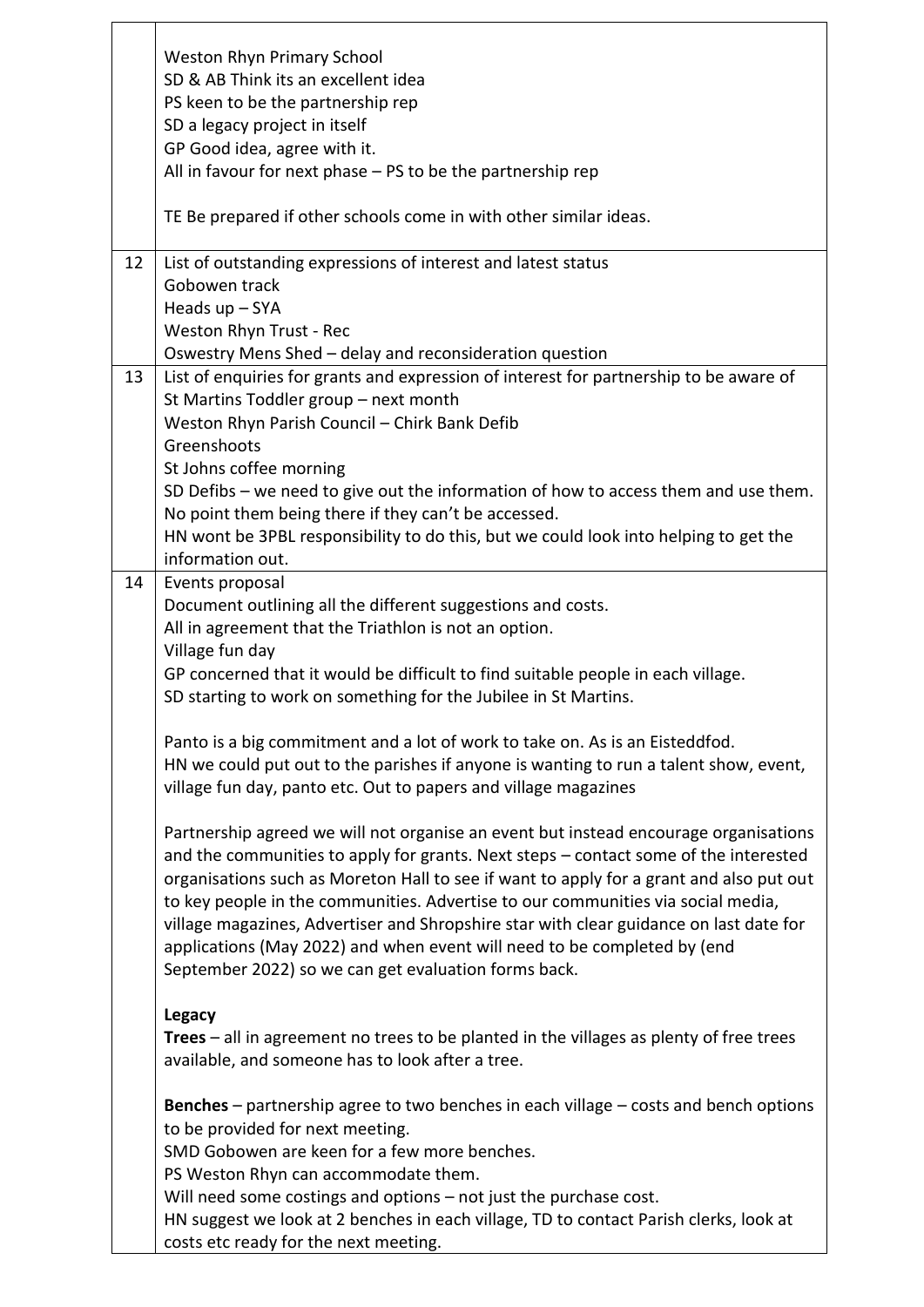|    | <b>Weston Rhyn Primary School</b>                                                                |
|----|--------------------------------------------------------------------------------------------------|
|    | SD & AB Think its an excellent idea                                                              |
|    | PS keen to be the partnership rep                                                                |
|    | SD a legacy project in itself                                                                    |
|    | GP Good idea, agree with it.                                                                     |
|    | All in favour for next phase $-$ PS to be the partnership rep                                    |
|    |                                                                                                  |
|    | TE Be prepared if other schools come in with other similar ideas.                                |
|    |                                                                                                  |
| 12 | List of outstanding expressions of interest and latest status                                    |
|    | Gobowen track                                                                                    |
|    | Heads $up$ – SYA                                                                                 |
|    | Weston Rhyn Trust - Rec                                                                          |
|    | Oswestry Mens Shed - delay and reconsideration question                                          |
| 13 | List of enquiries for grants and expression of interest for partnership to be aware of           |
|    | St Martins Toddler group - next month                                                            |
|    | Weston Rhyn Parish Council - Chirk Bank Defib                                                    |
|    | Greenshoots                                                                                      |
|    |                                                                                                  |
|    | St Johns coffee morning                                                                          |
|    | SD Defibs - we need to give out the information of how to access them and use them.              |
|    | No point them being there if they can't be accessed.                                             |
|    | HN wont be 3PBL responsibility to do this, but we could look into helping to get the             |
|    | information out.                                                                                 |
| 14 | Events proposal                                                                                  |
|    | Document outlining all the different suggestions and costs.                                      |
|    | All in agreement that the Triathlon is not an option.                                            |
|    | Village fun day                                                                                  |
|    | GP concerned that it would be difficult to find suitable people in each village.                 |
|    | SD starting to work on something for the Jubilee in St Martins.                                  |
|    |                                                                                                  |
|    | Panto is a big commitment and a lot of work to take on. As is an Eisteddfod.                     |
|    | HN we could put out to the parishes if anyone is wanting to run a talent show, event,            |
|    | village fun day, panto etc. Out to papers and village magazines                                  |
|    |                                                                                                  |
|    | Partnership agreed we will not organise an event but instead encourage organisations             |
|    | and the communities to apply for grants. Next steps – contact some of the interested             |
|    | organisations such as Moreton Hall to see if want to apply for a grant and also put out          |
|    | to key people in the communities. Advertise to our communities via social media,                 |
|    | village magazines, Advertiser and Shropshire star with clear guidance on last date for           |
|    | applications (May 2022) and when event will need to be completed by (end                         |
|    | September 2022) so we can get evaluation forms back.                                             |
|    |                                                                                                  |
|    | <b>Legacy</b>                                                                                    |
|    | <b>Trees</b> $-$ all in agreement no trees to be planted in the villages as plenty of free trees |
|    | available, and someone has to look after a tree.                                                 |
|    | <b>Benches</b> – partnership agree to two benches in each village – costs and bench options      |
|    | to be provided for next meeting.                                                                 |
|    | SMD Gobowen are keen for a few more benches.                                                     |
|    |                                                                                                  |
|    | PS Weston Rhyn can accommodate them.                                                             |
|    | Will need some costings and options - not just the purchase cost.                                |
|    | HN suggest we look at 2 benches in each village, TD to contact Parish clerks, look at            |
|    | costs etc ready for the next meeting.                                                            |